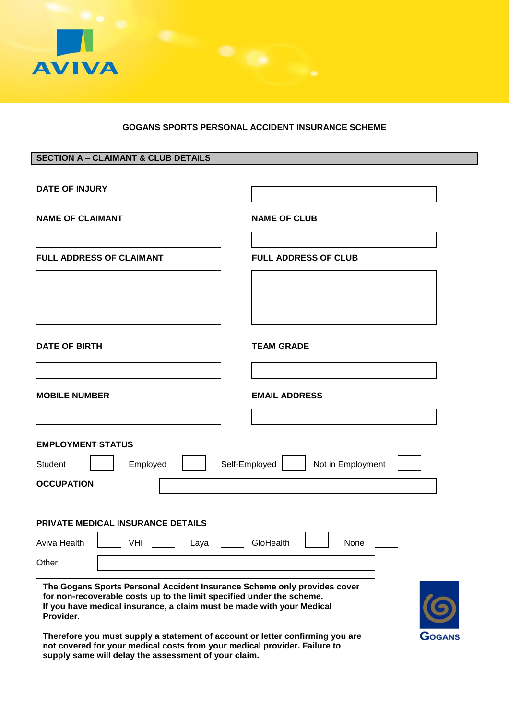

## **GOGANS SPORTS PERSONAL ACCIDENT INSURANCE SCHEME**

## **SECTION A – CLAIMANT & CLUB DETAILS**

| <b>DATE OF INJURY</b>                                                                                                                                                                                                                   |                                    |
|-----------------------------------------------------------------------------------------------------------------------------------------------------------------------------------------------------------------------------------------|------------------------------------|
| <b>NAME OF CLAIMANT</b>                                                                                                                                                                                                                 | <b>NAME OF CLUB</b>                |
| <b>FULL ADDRESS OF CLAIMANT</b>                                                                                                                                                                                                         | <b>FULL ADDRESS OF CLUB</b>        |
|                                                                                                                                                                                                                                         |                                    |
| <b>DATE OF BIRTH</b>                                                                                                                                                                                                                    | <b>TEAM GRADE</b>                  |
|                                                                                                                                                                                                                                         |                                    |
| <b>MOBILE NUMBER</b>                                                                                                                                                                                                                    | <b>EMAIL ADDRESS</b>               |
|                                                                                                                                                                                                                                         |                                    |
| <b>EMPLOYMENT STATUS</b>                                                                                                                                                                                                                |                                    |
| Employed<br>Student                                                                                                                                                                                                                     | Self-Employed<br>Not in Employment |
| <b>OCCUPATION</b>                                                                                                                                                                                                                       |                                    |
|                                                                                                                                                                                                                                         |                                    |
| <b>PRIVATE MEDICAL INSURANCE DETAILS</b><br>Aviva Health<br>VHI<br>Laya                                                                                                                                                                 | GloHealth<br>None                  |
| Other                                                                                                                                                                                                                                   |                                    |
| The Gogans Sports Personal Accident Insurance Scheme only provides cover<br>for non-recoverable costs up to the limit specified under the scheme.<br>If you have medical insurance, a claim must be made with your Medical<br>Provider. |                                    |
| Therefore you must supply a statement of account or letter confirming you are<br>not covered for your medical costs from your medical provider. Failure to<br>supply same will delay the assessment of your claim.                      | GOGANS                             |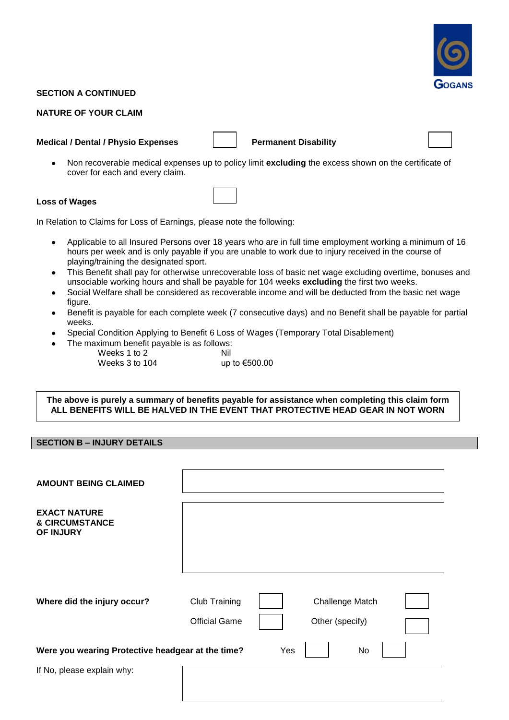

## **SECTION A CONTINUED**

## **NATURE OF YOUR CLAIM**

#### **Medical / Dental / Physio Expenses Permanent Disability**



Non recoverable medical expenses up to policy limit **excluding** the excess shown on the certificate of  $\bullet$ cover for each and every claim.

## **Loss of Wages**

In Relation to Claims for Loss of Earnings, please note the following:

- Applicable to all Insured Persons over 18 years who are in full time employment working a minimum of 16  $\bullet$ hours per week and is only payable if you are unable to work due to injury received in the course of playing/training the designated sport.
- This Benefit shall pay for otherwise unrecoverable loss of basic net wage excluding overtime, bonuses and  $\bullet$ unsociable working hours and shall be payable for 104 weeks **excluding** the first two weeks.
- Social Welfare shall be considered as recoverable income and will be deducted from the basic net wage figure.
- Benefit is payable for each complete week (7 consecutive days) and no Benefit shall be payable for partial weeks.
- Special Condition Applying to Benefit 6 Loss of Wages (Temporary Total Disablement)
	- The maximum benefit payable is as follows: Weeks  $1$  to  $2$   $\qquad$   $\qquad$  Nil Weeks 3 to 104  $\qquad \qquad \text{up to } \text{\textsterling}500.00$

## **The above is purely a summary of benefits payable for assistance when completing this claim form ALL BENEFITS WILL BE HALVED IN THE EVENT THAT PROTECTIVE HEAD GEAR IN NOT WORN**

## **SECTION B – INJURY DETAILS**

| <b>AMOUNT BEING CLAIMED</b>                                   |                                       |     |                                    |  |
|---------------------------------------------------------------|---------------------------------------|-----|------------------------------------|--|
| <b>EXACT NATURE</b><br><b>&amp; CIRCUMSTANCE</b><br>OF INJURY |                                       |     |                                    |  |
| Where did the injury occur?                                   | Club Training<br><b>Official Game</b> |     | Challenge Match<br>Other (specify) |  |
| Were you wearing Protective headgear at the time?             |                                       | Yes | No                                 |  |
| If No, please explain why:                                    |                                       |     |                                    |  |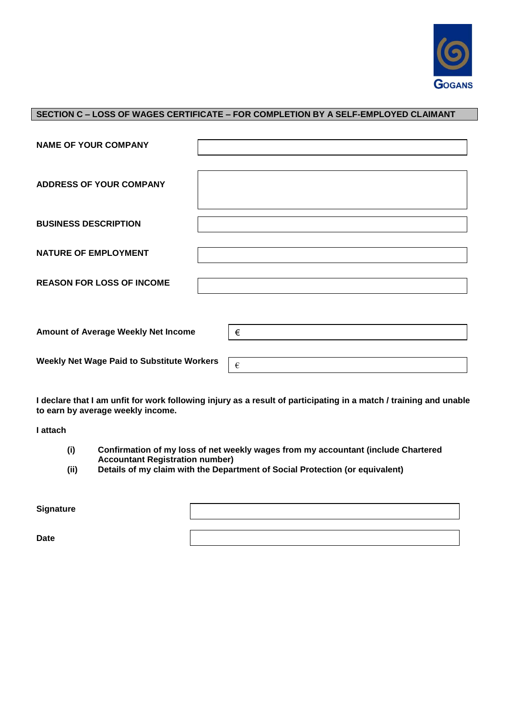

## **SECTION C – LOSS OF WAGES CERTIFICATE – FOR COMPLETION BY A SELF-EMPLOYED CLAIMANT**

| <b>NAME OF YOUR COMPANY</b>                       |   |
|---------------------------------------------------|---|
| <b>ADDRESS OF YOUR COMPANY</b>                    |   |
| <b>BUSINESS DESCRIPTION</b>                       |   |
| <b>NATURE OF EMPLOYMENT</b>                       |   |
| <b>REASON FOR LOSS OF INCOME</b>                  |   |
|                                                   |   |
| Amount of Average Weekly Net Income               | € |
| <b>Weekly Net Wage Paid to Substitute Workers</b> | € |

**I declare that I am unfit for work following injury as a result of participating in a match / training and unable to earn by average weekly income.**

**I attach**

- **(i) Confirmation of my loss of net weekly wages from my accountant (include Chartered Accountant Registration number)**
- **(ii) Details of my claim with the Department of Social Protection (or equivalent)**

| Signature   |  |
|-------------|--|
|             |  |
| <b>Date</b> |  |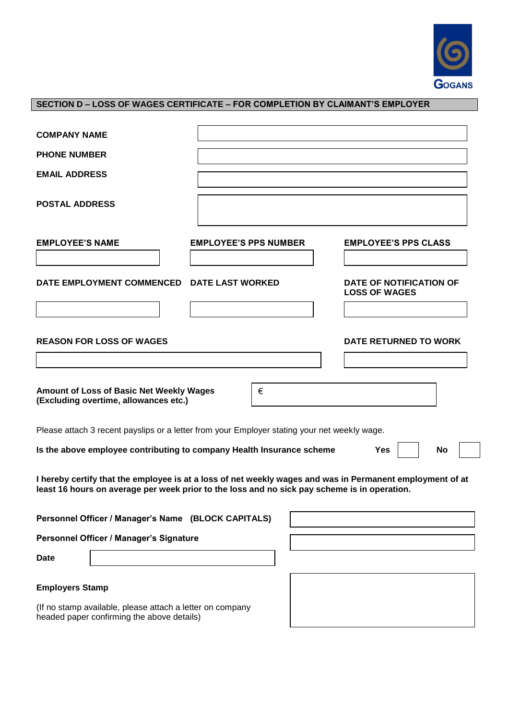

## **SECTION D – LOSS OF WAGES CERTIFICATE – FOR COMPLETION BY CLAIMANT'S EMPLOYER**

| <b>COMPANY NAME</b>                                                                                                                                                                                       |                              |                                                 |
|-----------------------------------------------------------------------------------------------------------------------------------------------------------------------------------------------------------|------------------------------|-------------------------------------------------|
| <b>PHONE NUMBER</b>                                                                                                                                                                                       |                              |                                                 |
| <b>EMAIL ADDRESS</b>                                                                                                                                                                                      |                              |                                                 |
| <b>POSTAL ADDRESS</b>                                                                                                                                                                                     |                              |                                                 |
| <b>EMPLOYEE'S NAME</b>                                                                                                                                                                                    | <b>EMPLOYEE'S PPS NUMBER</b> | <b>EMPLOYEE'S PPS CLASS</b>                     |
| DATE EMPLOYMENT COMMENCED                                                                                                                                                                                 | <b>DATE LAST WORKED</b>      | DATE OF NOTIFICATION OF<br><b>LOSS OF WAGES</b> |
|                                                                                                                                                                                                           |                              |                                                 |
| <b>REASON FOR LOSS OF WAGES</b>                                                                                                                                                                           |                              | <b>DATE RETURNED TO WORK</b>                    |
| Amount of Loss of Basic Net Weekly Wages<br>(Excluding overtime, allowances etc.)                                                                                                                         | €                            |                                                 |
| Please attach 3 recent payslips or a letter from your Employer stating your net weekly wage.                                                                                                              |                              |                                                 |
| Is the above employee contributing to company Health Insurance scheme                                                                                                                                     |                              | Yes<br>No                                       |
| I hereby certify that the employee is at a loss of net weekly wages and was in Permanent employment of at<br>least 16 hours on average per week prior to the loss and no sick pay scheme is in operation. |                              |                                                 |
| Personnel Officer / Manager's Name (BLOCK CAPITALS)                                                                                                                                                       |                              |                                                 |
| Personnel Officer / Manager's Signature                                                                                                                                                                   |                              |                                                 |
| <b>Date</b>                                                                                                                                                                                               |                              |                                                 |
| <b>Employers Stamp</b>                                                                                                                                                                                    |                              |                                                 |

(If no stamp available, please attach a letter on company headed paper confirming the above details)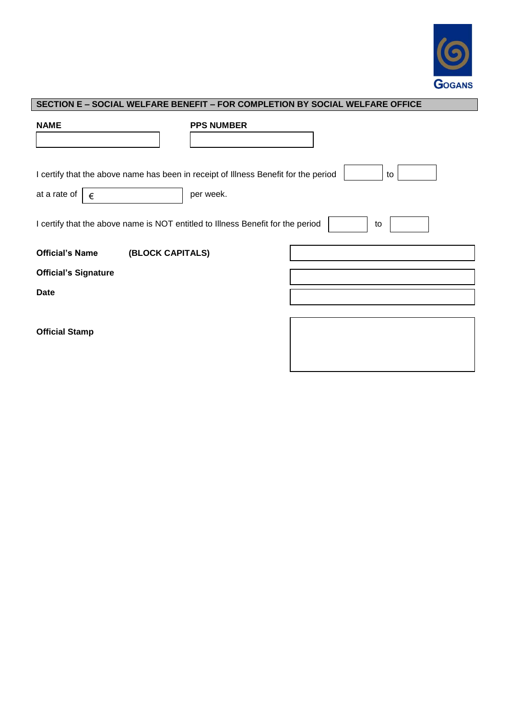

| SECTION E – SOCIAL WELFARE BENEFIT – FOR COMPLETION BY SOCIAL WELFARE OFFICE |
|------------------------------------------------------------------------------|
|------------------------------------------------------------------------------|

| <b>NAME</b>                                                                         | <b>PPS NUMBER</b> |
|-------------------------------------------------------------------------------------|-------------------|
|                                                                                     |                   |
|                                                                                     |                   |
| I certify that the above name has been in receipt of Illness Benefit for the period | to                |
| at a rate of<br>€                                                                   | per week.         |
|                                                                                     |                   |
| I certify that the above name is NOT entitled to Illness Benefit for the period     | to                |
|                                                                                     |                   |
| (BLOCK CAPITALS)<br><b>Official's Name</b>                                          |                   |
| <b>Official's Signature</b>                                                         |                   |
| <b>Date</b>                                                                         |                   |
|                                                                                     |                   |
|                                                                                     |                   |
| <b>Official Stamp</b>                                                               |                   |
|                                                                                     |                   |
|                                                                                     |                   |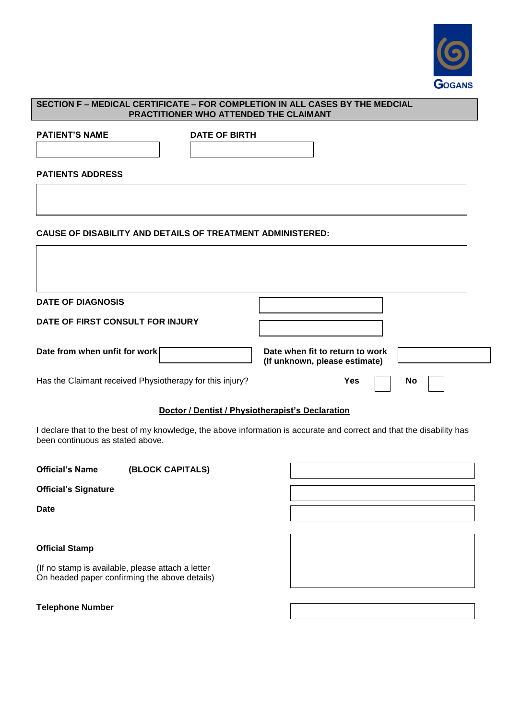

# **SECTION F – MEDICAL CERTIFICATE – FOR COMPLETION IN ALL CASES BY THE MEDCIAL PRACTITIONER WHO ATTENDED THE CLAIMANT PATIENT'S NAME** DATE OF BIRTH **PATIENTS ADDRESS CAUSE OF DISABILITY AND DETAILS OF TREATMENT ADMINISTERED: DATE OF DIAGNOSIS DATE OF FIRST CONSULT FOR INJURY** Date from when unfit for work **Date when fit to return to work** Date when fit to return to work  **(If unknown, please estimate)** Has the Claimant received Physiotherapy for this injury? **Yes Yes No Doctor / Dentist / Physiotherapist's Declaration**

I declare that to the best of my knowledge, the above information is accurate and correct and that the disability has been continuous as stated above.

| <b>Official's Name</b>      | (BLOCK CAPITALS) |  |
|-----------------------------|------------------|--|
| <b>Official's Signature</b> |                  |  |
| <b>Date</b>                 |                  |  |
|                             |                  |  |
| <b>Official Stamp</b>       |                  |  |

(If no stamp is available, please attach a letter On headed paper confirming the above details)

**Telephone Number**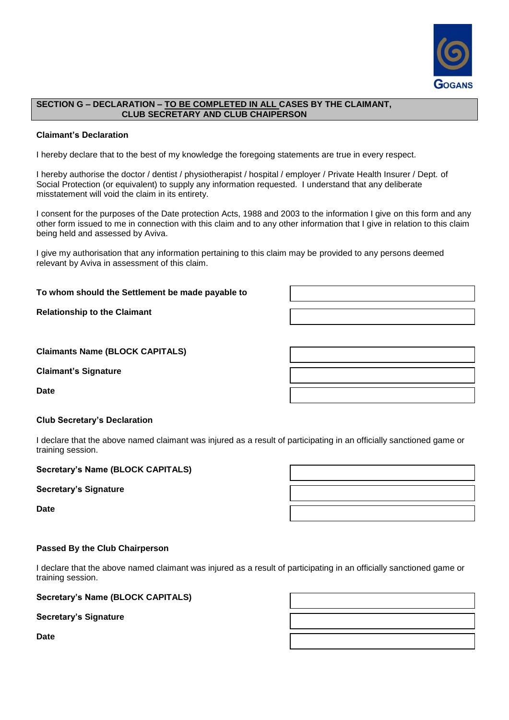

## **SECTION G – DECLARATION – TO BE COMPLETED IN ALL CASES BY THE CLAIMANT, CLUB SECRETARY AND CLUB CHAIPERSON**

## **Claimant's Declaration**

I hereby declare that to the best of my knowledge the foregoing statements are true in every respect.

I hereby authorise the doctor / dentist / physiotherapist / hospital / employer / Private Health Insurer / Dept. of Social Protection (or equivalent) to supply any information requested. I understand that any deliberate misstatement will void the claim in its entirety.

I consent for the purposes of the Date protection Acts, 1988 and 2003 to the information I give on this form and any other form issued to me in connection with this claim and to any other information that I give in relation to this claim being held and assessed by Aviva.

I give my authorisation that any information pertaining to this claim may be provided to any persons deemed relevant by Aviva in assessment of this claim.

#### **To whom should the Settlement be made payable to**

**Relationship to the Claimant** 

| <b>Claimants Name (BLOCK CAPITALS)</b> |  |  |
|----------------------------------------|--|--|
|----------------------------------------|--|--|

**Claimant's Signature**

**Date**

## **Club Secretary's Declaration**

I declare that the above named claimant was injured as a result of participating in an officially sanctioned game or training session.

#### **Secretary's Name (BLOCK CAPITALS)**

**Secretary's Signature**

**Date**

#### **Passed By the Club Chairperson**

I declare that the above named claimant was injured as a result of participating in an officially sanctioned game or training session.

## **Secretary's Name (BLOCK CAPITALS)**

**Secretary's Signature**

**Date**